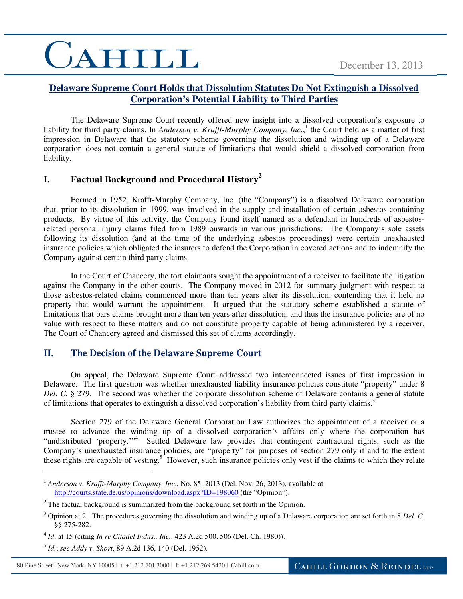# CAHILL

#### **Delaware Supreme Court Holds that Dissolution Statutes Do Not Extinguish a Dissolved Corporation's Potential Liability to Third Parties**

The Delaware Supreme Court recently offered new insight into a dissolved corporation's exposure to liability for third party claims. In *Anderson v. Krafft-Murphy Company, Inc.*,<sup>1</sup> the Court held as a matter of first impression in Delaware that the statutory scheme governing the dissolution and winding up of a Delaware corporation does not contain a general statute of limitations that would shield a dissolved corporation from liability.

### **I. Factual Background and Procedural History<sup>2</sup>**

Formed in 1952, Krafft-Murphy Company, Inc. (the "Company") is a dissolved Delaware corporation that, prior to its dissolution in 1999, was involved in the supply and installation of certain asbestos-containing products. By virtue of this activity, the Company found itself named as a defendant in hundreds of asbestosrelated personal injury claims filed from 1989 onwards in various jurisdictions. The Company's sole assets following its dissolution (and at the time of the underlying asbestos proceedings) were certain unexhausted insurance policies which obligated the insurers to defend the Corporation in covered actions and to indemnify the Company against certain third party claims.

In the Court of Chancery, the tort claimants sought the appointment of a receiver to facilitate the litigation against the Company in the other courts. The Company moved in 2012 for summary judgment with respect to those asbestos-related claims commenced more than ten years after its dissolution, contending that it held no property that would warrant the appointment. It argued that the statutory scheme established a statute of limitations that bars claims brought more than ten years after dissolution, and thus the insurance policies are of no value with respect to these matters and do not constitute property capable of being administered by a receiver. The Court of Chancery agreed and dismissed this set of claims accordingly.

#### **II. The Decision of the Delaware Supreme Court**

On appeal, the Delaware Supreme Court addressed two interconnected issues of first impression in Delaware. The first question was whether unexhausted liability insurance policies constitute "property" under 8 *Del. C.* § 279. The second was whether the corporate dissolution scheme of Delaware contains a general statute of limitations that operates to extinguish a dissolved corporation's liability from third party claims.<sup>3</sup>

Section 279 of the Delaware General Corporation Law authorizes the appointment of a receiver or a trustee to advance the winding up of a dissolved corporation's affairs only where the corporation has "undistributed 'property."<sup>4</sup> Settled Delaware law provides that contingent contractual rights, such as the Company's unexhausted insurance policies, are "property" for purposes of section 279 only if and to the extent these rights are capable of vesting.<sup>5</sup> However, such insurance policies only vest if the claims to which they relate

 $\overline{a}$ 

<sup>&</sup>lt;sup>1</sup> *Anderson v. Krafft-Murphy Company, Inc., No.* 85, 2013 (Del. Nov. 26, 2013), available at http://courts.state.de.us/opinions/download.aspx?ID=198060 (the "Opinion").

 $2^2$  The factual background is summarized from the background set forth in the Opinion.

<sup>3</sup> Opinion at 2. The procedures governing the dissolution and winding up of a Delaware corporation are set forth in 8 *Del. C.*  §§ 275-282.

<sup>4</sup> *Id*. at 15 (citing *In re Citadel Indus., Inc.*, 423 A.2d 500, 506 (Del. Ch. 1980)).

<sup>5</sup> *Id.*; *see Addy v. Short*, 89 A.2d 136, 140 (Del. 1952).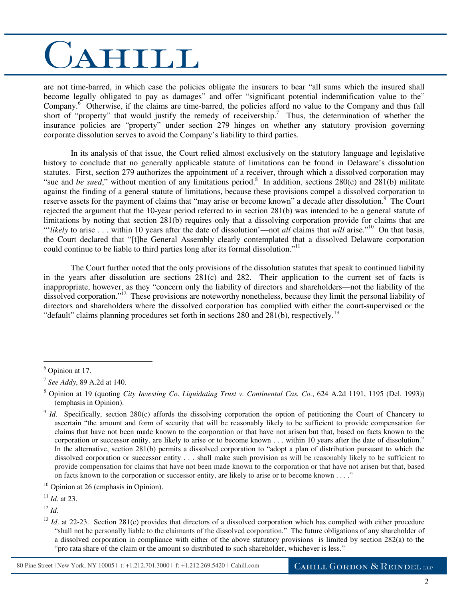## CAHILL

are not time-barred, in which case the policies obligate the insurers to bear "all sums which the insured shall become legally obligated to pay as damages" and offer "significant potential indemnification value to the" Company.<sup>6</sup> Otherwise, if the claims are time-barred, the policies afford no value to the Company and thus fall short of "property" that would justify the remedy of receivership.<sup>7</sup> Thus, the determination of whether the insurance policies are "property" under section 279 hinges on whether any statutory provision governing corporate dissolution serves to avoid the Company's liability to third parties.

In its analysis of that issue, the Court relied almost exclusively on the statutory language and legislative history to conclude that no generally applicable statute of limitations can be found in Delaware's dissolution statutes. First, section 279 authorizes the appointment of a receiver, through which a dissolved corporation may "sue and *be sued*," without mention of any limitations period.<sup>8</sup> In addition, sections  $280(c)$  and  $281(b)$  militate against the finding of a general statute of limitations, because these provisions compel a dissolved corporation to reserve assets for the payment of claims that "may arise or become known" a decade after dissolution.<sup>9</sup> The Court rejected the argument that the 10-year period referred to in section 281(b) was intended to be a general statute of limitations by noting that section 281(b) requires only that a dissolving corporation provide for claims that are "'*likely* to arise . . . within 10 years after the date of dissolution'—not *all* claims that *will* arise."<sup>10</sup> On that basis, the Court declared that "[t]he General Assembly clearly contemplated that a dissolved Delaware corporation could continue to be liable to third parties long after its formal dissolution."<sup>11</sup>

The Court further noted that the only provisions of the dissolution statutes that speak to continued liability in the years after dissolution are sections  $281(c)$  and  $282$ . Their application to the current set of facts is inappropriate, however, as they "concern only the liability of directors and shareholders—not the liability of the dissolved corporation."<sup>12</sup> These provisions are noteworthy nonetheless, because they limit the personal liability of directors and shareholders where the dissolved corporation has complied with either the court-supervised or the "default" claims planning procedures set forth in sections 280 and 281(b), respectively.<sup>13</sup>

 $\overline{a}$ 

 $10$  Opinion at 26 (emphasis in Opinion).

 $12$  *Id.* 

<sup>6</sup> Opinion at 17.

<sup>7</sup> *See Addy*, 89 A.2d at 140.

<sup>8</sup> Opinion at 19 (quoting *City Investing Co*. *Liquidating Trust v. Continental Cas. Co.*, 624 A.2d 1191, 1195 (Del. 1993)) (emphasis in Opinion).

<sup>&</sup>lt;sup>9</sup> *Id*. Specifically, section 280(c) affords the dissolving corporation the option of petitioning the Court of Chancery to ascertain "the amount and form of security that will be reasonably likely to be sufficient to provide compensation for claims that have not been made known to the corporation or that have not arisen but that, based on facts known to the corporation or successor entity, are likely to arise or to become known . . . within 10 years after the date of dissolution." In the alternative, section 281(b) permits a dissolved corporation to "adopt a plan of distribution pursuant to which the dissolved corporation or successor entity . . . shall make such provision as will be reasonably likely to be sufficient to provide compensation for claims that have not been made known to the corporation or that have not arisen but that, based on facts known to the corporation or successor entity, are likely to arise or to become known . . . ."

<sup>11</sup> *Id*. at 23.

<sup>&</sup>lt;sup>13</sup> *Id.* at 22-23. Section 281(c) provides that directors of a dissolved corporation which has complied with either procedure "shall not be personally liable to the claimants of the dissolved corporation." The future obligations of any shareholder of a dissolved corporation in compliance with either of the above statutory provisions is limited by section 282(a) to the "pro rata share of the claim or the amount so distributed to such shareholder, whichever is less."